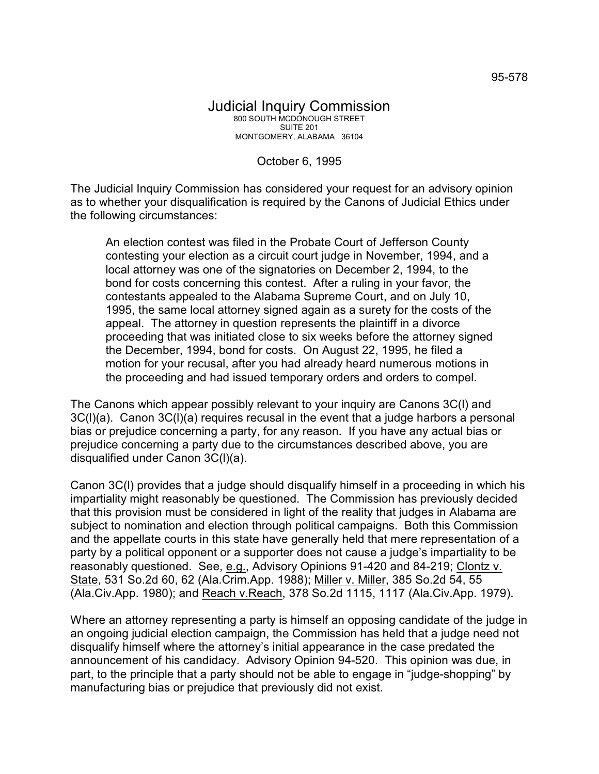October 6, 1995

The Judicial Inquiry Commission has considered your request for an advisory opinion as to whether your disqualification is required by the Canons of Judicial Ethics under the following circumstances:

An election contest was filed in the Probate Court of Jefferson County contesting your election as a circuit court judge in November, 1994, and a local attorney was one of the signatories on December 2, 1994, to the bond for costs concerning this contest. After a ruling in your favor, the contestants appealed to the Alabama Supreme Court, and on July 10, 1995, the same local attorney signed again as a surety for the costs of the appeal. The attorney in question represents the plaintiff in a divorce proceeding that was initiated close to six weeks before the attorney signed the December, 1994, bond for costs. On August 22, 1995, he filed a motion for your recusal, after you had already heard numerous motions in the proceeding and had issued temporary orders and orders to compel.

The Canons which appear possibly relevant to your inquiry are Canons 3C(l) and 3C(l)(a). Canon 3C(l)(a) requires recusal in the event that a judge harbors a personal bias or prejudice concerning a party, for any reason. If you have any actual bias or prejudice concerning a party due to the circumstances described above, you are disqualified under Canon 3C(l)(a).

Canon 3C(l) provides that a judge should disqualify himself in a proceeding in which his impartiality might reasonably be questioned. The Commission has previously decided that this provision must be considered in light of the reality that judges in Alabama are subject to nomination and election through political campaigns. Both this Commission and the appellate courts in this state have generally held that mere representation of a party by a political opponent or a supporter does not cause a judge's impartiality to be reasonably questioned. See, e.g., Advisory Opinions 91-420 and 84-219; Clontz v. State, 531 So.2d 60, 62 (Ala.Crim.App. 1988); Miller v. Miller, 385 So.2d 54, 55 (Ala.Civ.App. 1980); and Reach v.Reach, 378 So.2d 1115, 1117 (Ala.Civ.App. 1979).

Where an attorney representing a party is himself an opposing candidate of the judge in an ongoing judicial election campaign, the Commission has held that a judge need not disqualify himself where the attorney's initial appearance in the case predated the announcement of his candidacy. Advisory Opinion 94-520. This opinion was due, in part, to the principle that a party should not be able to engage in "judge-shopping" by manufacturing bias or prejudice that previously did not exist.